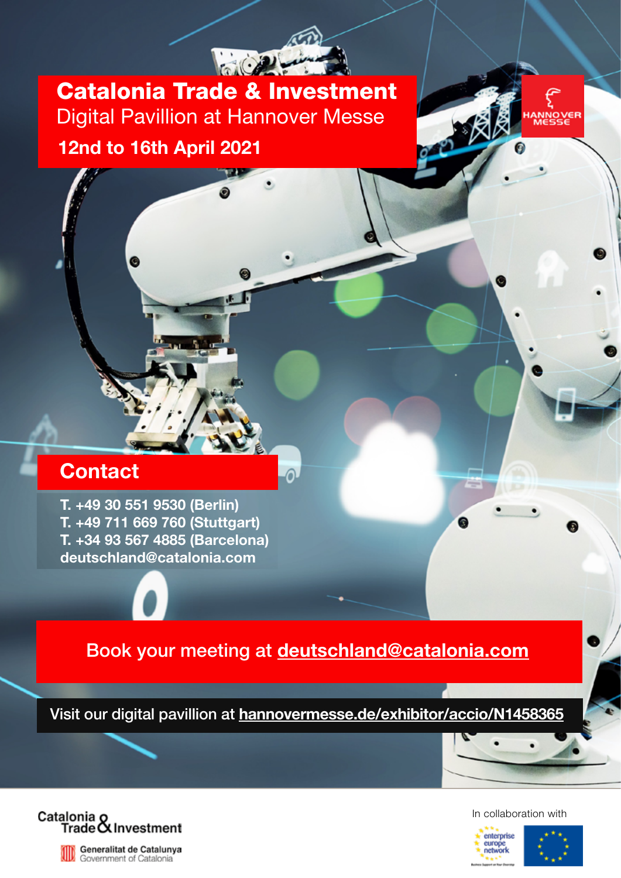Catalonia Trade & Investment Digital Pavillion at Hannover Messe 12nd to 16th April 2021



## **Contact**

T. +49 30 551 9530 (Berlin) T. +49 711 669 760 (Stuttgart) T. +34 93 567 4885 (Barcelona) deutschland@catalonia.com



ദ

Visit our digital pavillion at [hannovermesse.de/exhibitor/accio/N1458365](http://hannovermesse.de/exhibitor/accio/N1458365)



Generalitat de Catalunya<br>Government of Catalonia